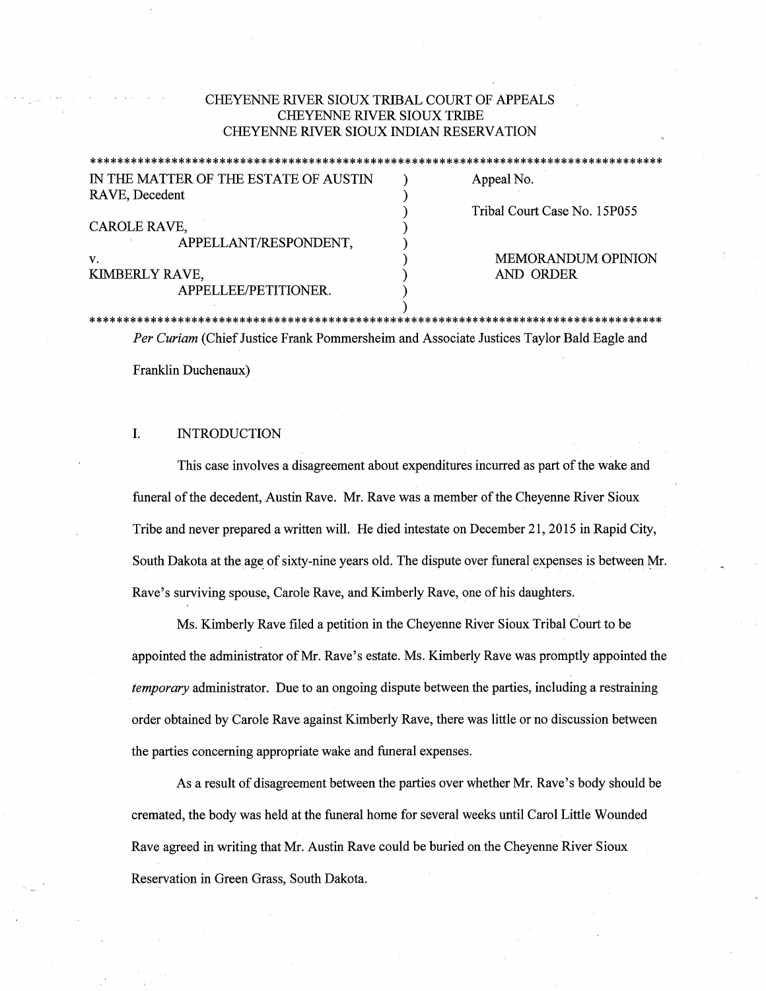# CHEYENNE RIVER SIOUX TRIBAL COURT OF APPEALS CHEYENNE RIVER SIOUX TRIBE CHEYENNE RIVER SIOUX INDIAN RESERVATION

|                                       | ******************************** |
|---------------------------------------|----------------------------------|
| IN THE MATTER OF THE ESTATE OF AUSTIN | Appeal No.                       |
| RAVE, Decedent                        |                                  |
|                                       | Tribal Court Case No. 15P055     |
| CAROLE RAVE,                          |                                  |
| APPELLANT/RESPONDENT,                 |                                  |
| v.                                    | <b>MEMORANDUM OPINION</b>        |
| KIMBERLY RAVE,                        | AND ORDER                        |
| APPELLEE/PETITIONER.                  |                                  |

### NDUM OPINION ER

# \*\*\*\*\*\*\*\*\*\*\*\*\*\*\*\*\*\*\*\*\*\*\*\*\*\*\*\*\*\*\*\*\*\*\*\*\*\*\*\*\*\*\*\*\*\*\*\*\*\*\*\*\*\*\*\*\*\*\*\*\*\*\*\*\*\*\*\*\*\*\*\*\*\*\*\*\*\*\*\*\*\*\*\*

*Per Curiam* (Chief Justice Frank Pommersheim and Associate Justices Taylor Bald Eagle and

)

Franklin Duchenaux)

# I. INTRODUCTION

This case involves a disagreement about expenditures incurred as part of the wake and funeral of the decedent, Austin Rave. Mr. Rave was a member of the Cheyenne River Sioux Tribe and never prepared a written will. He died intestate on December 21, 2015 in Rapid City, South Dakota at the age of sixty-nine years old. The dispute over funeral expenses is between Mr. Rave's surviving spouse, Carole Rave, and Kimberly Rave, one of his daughters.

Ms. Kimberly Rave filed a petition in the Cheyenne River Sioux Tribal Court to be appointed the administrator of Mr. Rave's estate. Ms. Kimberly Rave was promptly appointed the *temporary* administrator. Due to an ongoing dispute between the parties, including a restraining order obtained by Carole Rave against Kimberly Rave, there was little or no discussion between the parties concerning appropriate wake and funeral expenses.

As a result of disagreement between the parties over whether Mr. Rave's body should be cremated, the body was held at the funeral home for several weeks until Carol Little Wounded Rave agreed in writing that Mr. Austin Rave could be buried on the Cheyenne River Sioux Reservation in Green Grass, South Dakota.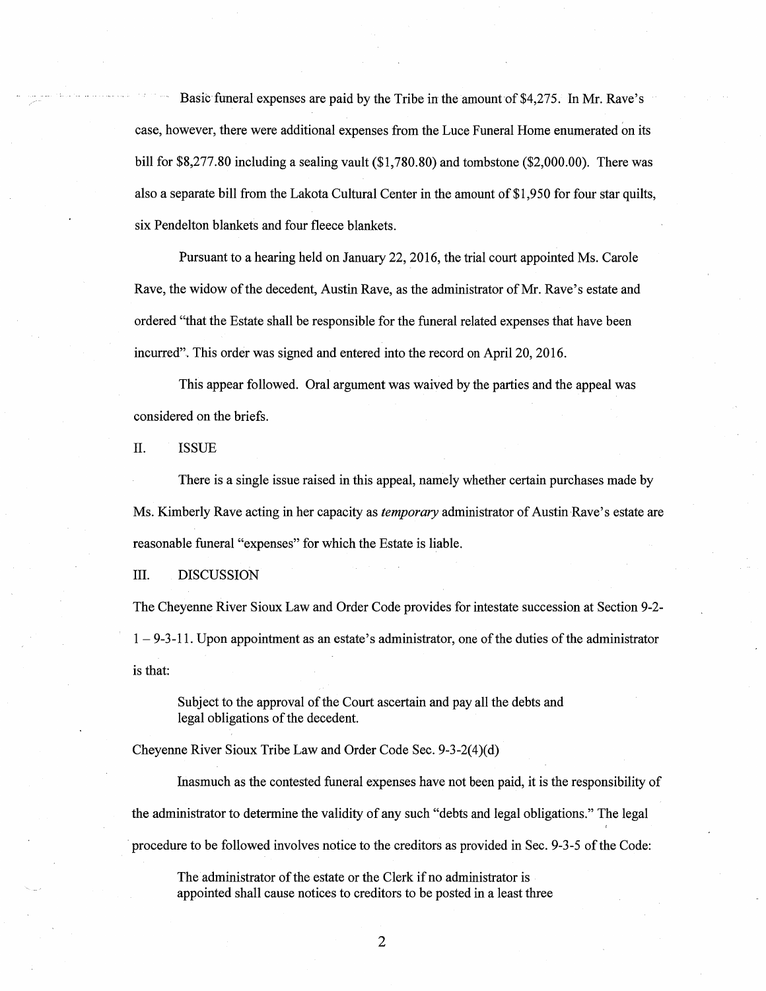Basic funeral expenses are paid by the Tribe in the amount of \$4,275. In Mr. Rave's case, however, there were additional expenses from the Luce Funeral Home enumerated on its bill for \$8,277.80 including a sealing vault (\$1,780.80) and tombstone (\$2,000.00). There was also a separate bill from the Lakota Cultural Center in the amount of \$1,950 for four star quilts, six Pendelton blankets and four fleece blankets.

Pursuant to a hearing held on January 22, 2016, the trial court appointed Ms. Carole Rave, the widow of the decedent, Austin Rave, as the administrator of Mr. Rave's estate and ordered "that the Estate shall be responsible for the funeral related expenses that have been incurred". This order was signed and entered into the record on April 20, 2016.

This appear followed. Oral argument was waived by the parties and the appeal was considered on the briefs.

II. ISSUE

There is a single issue raised in this appeal, namely whether certain purchases made by Ms. Kimberly Rave acting in her capacity as *temporary* administrator of Austin Rave's estate are reasonable funeral "expenses" for which the Estate is liable.

III. DISCUSSION

The Cheyenne River Sioux Law and Order Code provides for intestate succession at Section 9-2-  $1 - 9 - 3 - 11$ . Upon appointment as an estate's administrator, one of the duties of the administrator is that:

Subject to the approval of the Court ascertain and pay all the debts and legal obligations of the decedent.

Cheyenne River Sioux Tribe Law and Order Code Sec. 9-3-2(4)(d)

Inasmuch as the contested funeral expenses have not been paid, it is the responsibility of the administrator to determine the validity of any such "debts and legal obligations." The legal · procedure to be followed involves notice to the creditors as provided in Sec. 9-3-5 of the Code:

The administrator of the estate or the Clerk if no administrator is appointed shall cause notices to creditors to be posted in a least three

2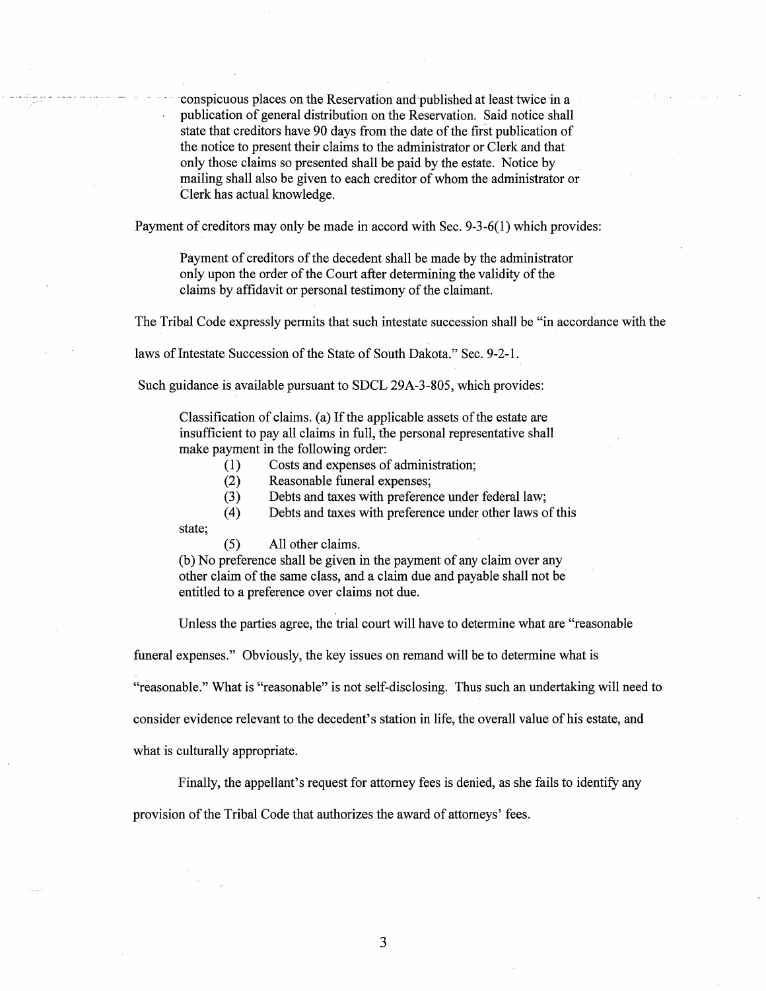conspicuous places on the Reservation and published at least twice in a publication of general distribution on the Reservation. Said notice shall state that creditors have 90 days from the date of the first publication of the notice to present their claims to the administrator or Clerk and that only those claims so presented shall be paid by the estate. Notice by mailing shall also be given to each creditor of whom the administrator or Clerk has actual knowledge.

Payment of creditors may only be made in accord with Sec. 9-3-6(1) which provides:

Payment of creditors of the decedent shall be made by the administrator only upon the order of the Court after determining the validity of the claims by affidavit or personal testimony of the claimant.

The Tribal Code expressly permits that such intestate succession shall be "in accordance with the

laws of Intestate Succession of the State of South Dakota." Sec. 9-2-1.

Such guidance is available pursuant to SDCL 29A-3-805, which provides:

Classification of claims. (a) If the applicable assets of the estate are insufficient to pay all claims in full, the personal representative shall make payment in the following order:

( 1) Costs and expenses of administration;

(2) Reasonable funeral expenses;

(3) Debts and taxes with preference under federal law;

( 4) Debts and taxes with preference under other laws of this

state;

(5) All other claims.

(b) No preference shall be given in the payment of any claim over any other claim of the same class, and a claim due and payable shall not be entitled to a preference over claims not due.

Unless the parties agree, the trial court will have to determine what are "reasonable

funeral expenses." Obviously, the key issues on remand will be to determine what is

"reasonable." What is "reasonable" is not self-disclosing. Thus such an undertaking will need to

consider evidence relevant to the decedent's station in life, the overall value of his estate, and

what is culturally appropriate.

Finally, the appellant's request for attorney fees is denied, as she fails to identify any

provision of the Tribal Code that authorizes the award of attorneys' fees.